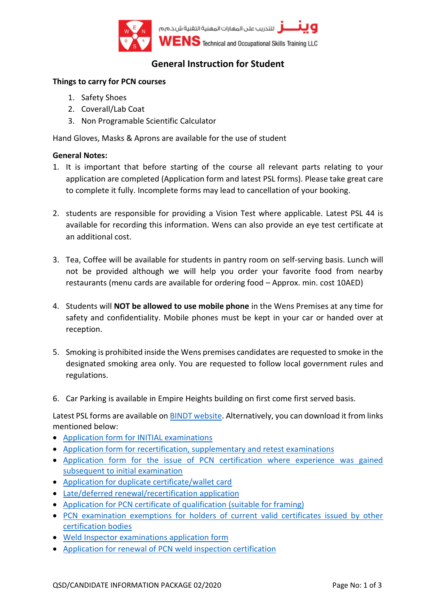

# **General Instruction for Student**

### **Things to carry for PCN courses**

- 1. Safety Shoes
- 2. Coverall/Lab Coat
- 3. Non Programable Scientific Calculator

Hand Gloves, Masks & Aprons are available for the use of student

#### **General Notes:**

- 1. It is important that before starting of the course all relevant parts relating to your application are completed (Application form and latest PSL forms). Please take great care to complete it fully. Incomplete forms may lead to cancellation of your booking.
- 2. students are responsible for providing a Vision Test where applicable. Latest PSL 44 is available for recording this information. Wens can also provide an eye test certificate at an additional cost.
- 3. Tea, Coffee will be available for students in pantry room on self-serving basis. Lunch will not be provided although we will help you order your favorite food from nearby restaurants (menu cards are available for ordering food – Approx. min. cost 10AED)
- 4. Students will **NOT be allowed to use mobile phone** in the Wens Premises at any time for safety and confidentiality. Mobile phones must be kept in your car or handed over at reception.
- 5. Smoking is prohibited inside the Wens premises candidates are requested to smoke in the designated smoking area only. You are requested to follow local government rules and regulations.
- 6. Car Parking is available in Empire Heights building on first come first served basis.

Latest PSL forms are available on [BINDT website.](https://www.bindt.org/downloads) Alternatively, you can download it from links mentioned below:

- [Application form for INITIAL examinations](http://www.bindt.org/downloads/PSL57A.pdf)
- [Application form for recertification, supplementary and retest examinations](http://www.bindt.org/downloads/PSL57B.pdf)
- [Application form for the issue of PCN certification where experience was gained](http://www.bindt.org/downloads/PSL57C.pdf)  [subsequent to initial examination](http://www.bindt.org/downloads/PSL57C.pdf)
- [Application for duplicate certificate/wallet card](http://www.bindt.org/downloads/PSL18.pdf)
- [Late/deferred renewal/recertification application](http://www.bindt.org/downloads/PSL28.pdf)
- [Application for PCN certificate of qualification](http://www.bindt.org/downloads/PSL53.pdf) (suitable for framing)
- [PCN examination exemptions for holders of current valid certificates issued by other](http://www.bindt.org/downloads/PSL49.pdf) [certification bodies](http://www.bindt.org/downloads/PSL49.pdf)
- [Weld Inspector examinations application form](http://www.bindt.org/downloads/PSL57WIA.pdf)
- [Application for renewal of PCN weld inspection certification](http://www.bindt.org/downloads/PSL57WIR.pdf)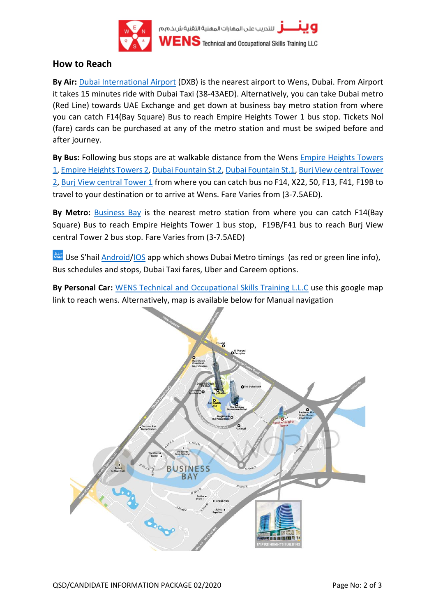

### **How to Reach**

**By Air:** [Dubai International Airport](https://goo.gl/maps/4jsUgG9f9Tvj7FuB8) (DXB) is the nearest airport to Wens, Dubai. From Airport it takes 15 minutes ride with Dubai Taxi (38-43AED). Alternatively, you can take Dubai metro (Red Line) towards UAE Exchange and get down at business bay metro station from where you can catch F14(Bay Square) Bus to reach Empire Heights Tower 1 bus stop. Tickets Nol (fare) cards can be purchased at any of the metro station and must be swiped before and after journey.

**By Bus:** Following bus stops are at walkable distance from the Wens [Empire Heights Towers](https://goo.gl/maps/iyChL8vC4LjsKgpg9)  [1,](https://goo.gl/maps/iyChL8vC4LjsKgpg9) [Empire Heights Towers 2,](https://goo.gl/maps/dQbcqcfYC84ukyC79) [Dubai Fountain St.2,](https://goo.gl/maps/KEnD444y1Upi7CcW8) [Dubai Fountain St.1,](https://goo.gl/maps/3yN57VGc5GgjoJrz9) [Burj View central Tower](https://goo.gl/maps/puUL6PbyNV6Vv2Ek7)  [2,](https://goo.gl/maps/puUL6PbyNV6Vv2Ek7) [Burj View central Tower 1](https://goo.gl/maps/omivPvPFtFEedye16) from where you can catch bus no F14, X22, 50, F13, F41, F19B to travel to your destination or to arrive at Wens. Fare Varies from (3-7.5AED).

**By Metro:** [Business Bay](https://goo.gl/maps/JmMfm8SYiGRA7Py98) is the nearest metro station from where you can catch F14(Bay Square) Bus to reach Empire Heights Tower 1 bus stop, F19B/F41 bus to reach Burj View central Tower 2 bus stop. Fare Varies from (3-7.5AED)

Use S'hail [Android/](https://play.google.com/store/apps/details?id=de.hafas.android.dimp&hl=en&gl=US)[IOS](https://apps.apple.com/ae/app/shail/id1214681230) app which shows Dubai Metro timings (as red or green line info), Bus schedules and stops, Dubai Taxi fares, Uber and Careem options.

**By Personal Car:** [WENS Technical and Occupational Skills Training L.L.C](https://goo.gl/maps/V9YRK5kXrisz25ms8) use this google map link to reach wens. Alternatively, map is available below for Manual navigation